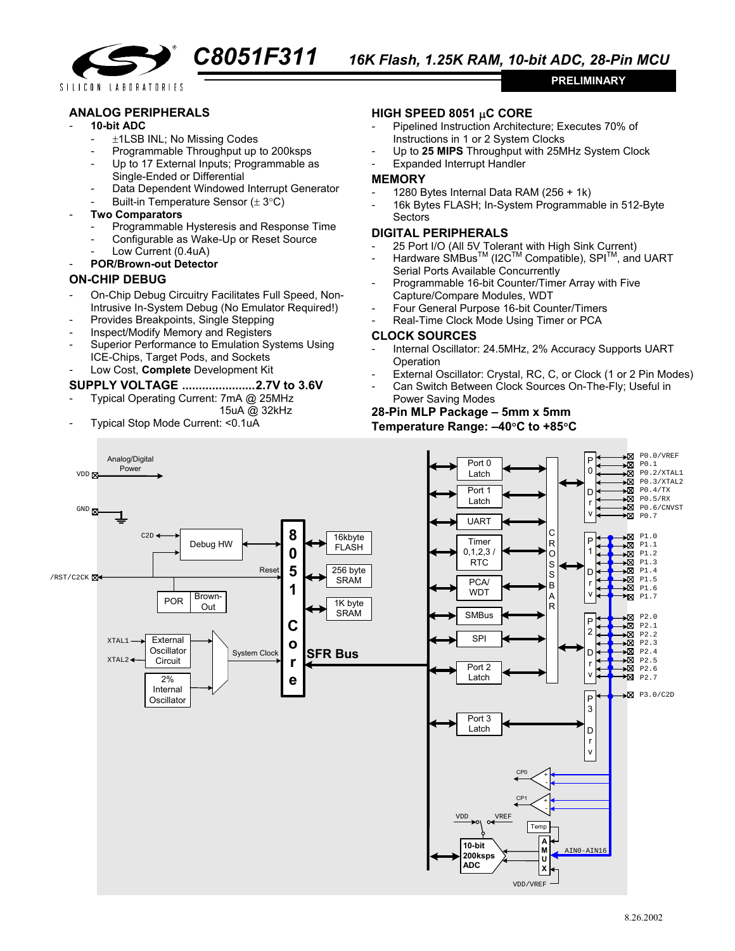

SILICON LABORATORIES

### **ANALOG PERIPHERALS**

#### - **10-bit ADC**

- ±1LSB INL; No Missing Codes
- Programmable Throughput up to 200ksps
- Up to 17 External Inputs; Programmable as Single-Ended or Differential
- Data Dependent Windowed Interrupt Generator
- Built-in Temperature Sensor  $(\pm 3^{\circ}C)$

#### - **Two Comparators**

- Programmable Hysteresis and Response Time
- Configurable as Wake-Up or Reset Source
- Low Current (0.4uA)
- **POR/Brown-out Detector**

## **ON-CHIP DEBUG**

- On-Chip Debug Circuitry Facilitates Full Speed, Non-Intrusive In-System Debug (No Emulator Required!)
- Provides Breakpoints, Single Stepping
- Inspect/Modify Memory and Registers
- Superior Performance to Emulation Systems Using ICE-Chips, Target Pods, and Sockets
- Low Cost, **Complete** Development Kit

# **SUPPLY VOLTAGE ......................2.7V to 3.6V**

- Typical Operating Current: 7mA @ 25MHz
- 15uA @ 32kHz
- Typical Stop Mode Current: <0.1uA

# **HIGH SPEED 8051** µ**C CORE**

- Pipelined Instruction Architecture; Executes 70% of Instructions in 1 or 2 System Clocks
- Up to **25 MIPS** Throughput with 25MHz System Clock

**PRELIMINARY** 

Expanded Interrupt Handler

#### **MEMORY**

- 1280 Bytes Internal Data RAM (256 + 1k)
- 16k Bytes FLASH; In-System Programmable in 512-Byte **Sectors**

## **DIGITAL PERIPHERALS**

- 25 Port I/O (All 5V Tolerant with High Sink Current)
- Hardware SMBus<sup>™</sup> (I2C<sup>™</sup> Compatible), SPI<sup>™</sup>, and UART Serial Ports Available Concurrently
- Programmable 16-bit Counter/Timer Array with Five Capture/Compare Modules, WDT
- Four General Purpose 16-bit Counter/Timers
- Real-Time Clock Mode Using Timer or PCA

### **CLOCK SOURCES**

- Internal Oscillator: 24.5MHz, 2% Accuracy Supports UART Operation
- External Oscillator: Crystal, RC, C, or Clock (1 or 2 Pin Modes)
- Can Switch Between Clock Sources On-The-Fly; Useful in

#### Power Saving Modes **28-Pin MLP Package – 5mm x 5mm**

**Temperature Range: –40**°**C to +85**°**C**